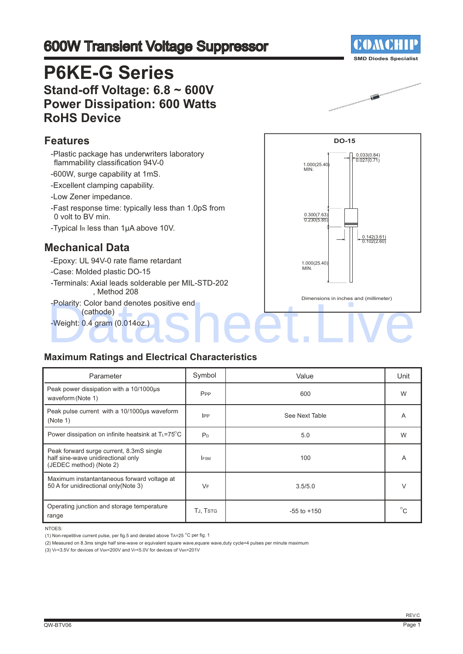# 600W Transient Voltage Suppressor

# **P6KE-G Series Stand-off Voltage: 6.8 ~ 600V Power Dissipation: 600 Watts RoHS Device**

#### **Features**

- -Plastic package has underwriters laboratory flammability classification 94V-0
- -600W, surge capability at 1mS.
- -Excellent clamping capability.
- -Low Zener impedance.
- -Fast response time: typically less than 1.0pS from 0 volt to BV min.
- -Typical IR less than 1μA above 10V.

### **Mechanical Data**

- -Epoxy: UL 94V-0 rate flame retardant
- -Case: Molded plastic DO-15
- -Terminals: Axial leads solderable per MIL-STD-202 , Method 208
- -Polarity: Color band denotes positive end (cathode)
- -Weight: 0.4 gram (0.014oz.)



### **Maximum Ratings and Electrical Characteristics**

| Parameter                                                                                                 | Symbol          | Value           | Unit         |
|-----------------------------------------------------------------------------------------------------------|-----------------|-----------------|--------------|
| Peak power dissipation with a 10/1000us<br>waveform (Note 1)                                              | P <sub>PP</sub> | 600             | W            |
| Peak pulse current with a 10/1000us waveform<br>(Note 1)                                                  | $_{\rm lPP}$    | See Next Table  | A            |
| Power dissipation on infinite heatsink at TL=75°C                                                         | P <sub>D</sub>  | 5.0             | W            |
| Peak forward surge current, 8.3mS single<br>half sine-wave unidirectional only<br>(JEDEC method) (Note 2) | <b>FSM</b>      | 100             | Α            |
| Maximum instantantaneous forward voltage at<br>50 A for unidirectional only (Note 3)                      | VF              | 3.5/5.0         | $\vee$       |
| Operating junction and storage temperature<br>range                                                       | TJ, TSTG        | $-55$ to $+150$ | $^{\circ}$ C |

NTOES:

(2) Measured on 8.3ms single half sine-wave or equivalent square wave,equare wave,duty cycle=4 pulses per minute maximum

(3) VF<3.5V for devices of VBR<200V and VF<5.0V for devices of VBR>201V



Ó

<sup>(1)</sup> Non-repetitive current pulse, per fig.5 and derated above TA=25  $^{\circ}$ C per fig. 1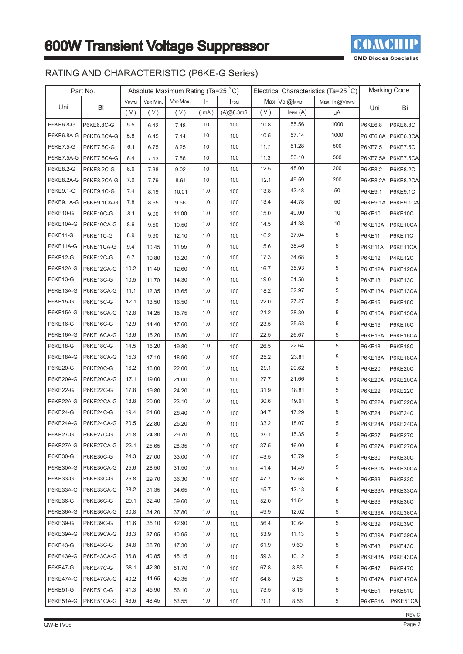

### RATING AND CHARACTERISTIC (P6KE-G Series)

|                 | Part No.                 |             |          | Absolute Maximum Rating (Ta=25 °C) |         |             | Electrical Characteristics (Ta=25 °C) |                    |               | Marking Code.   |                  |
|-----------------|--------------------------|-------------|----------|------------------------------------|---------|-------------|---------------------------------------|--------------------|---------------|-----------------|------------------|
|                 |                          | <b>VRWM</b> | VBR Min. | VBR Max.                           | Iт      | <b>IFSM</b> |                                       | Max. $Vc$ $@$ IPPM | Max. IR @VRWM |                 |                  |
| Uni             | Bi                       | (V)         | (V)      | (V)                                | (mA)    | (A)@8.3mS   | (V)                                   | $I$ PPM $(A)$      | uA            | Uni             | Bi               |
| P6KE6.8-G       | P6KE6.8C-G               | 5.5         | 6.12     | 7.48                               | 10      | 100         | 10.8                                  | 55.56              | 1000          | P6KE6.8         | P6KE6.8C         |
|                 | P6KE6.8A-G P6KE6.8CA-G   | 5.8         | 6.45     | 7.14                               | 10      | 100         | 10.5                                  | 57.14              | 1000          | P6KE6.8A        | P6KE6.8CA        |
| P6KE7.5-G       | P6KE7.5C-G               | 6.1         | 6.75     | 8.25                               | 10      | 100         | 11.7                                  | 51.28              | 500           | P6KE7.5         | P6KE7.5C         |
|                 | P6KE7.5A-G   P6KE7.5CA-G | 6.4         | 7.13     | 7.88                               | 10      | 100         | 11.3                                  | 53.10              | 500           | <b>P6KE7.5A</b> | <b>P6KE7.5CA</b> |
| P6KE8.2-G       | P6KE8.2C-G               | 6.6         | 7.38     | 9.02                               | 10      | 100         | 12.5                                  | 48.00              | 200           | P6KE8.2         | <b>P6KE8.2C</b>  |
| P6KE8.2A-G      | P6KE8.2CA-G              | 7.0         | 7.79     | 8.61                               | 10      | 100         | 12.1                                  | 49.59              | 200           | P6KE8.2A        | P6KE8.2CA        |
| P6KE9.1-G       | P6KE9.1C-G               | 7.4         | 8.19     | 10.01                              | 1.0     | 100         | 13.8                                  | 43.48              | 50            | P6KE9.1         | P6KE9.1C         |
| P6KE9.1A-G      | P6KE9.1CA-G              | 7.8         | 8.65     | 9.56                               | 1.0     | 100         | 13.4                                  | 44.78              | 50            | P6KE9.1A        | <b>P6KE9.1CA</b> |
| P6KE10-G        | P6KE10C-G                | 8.1         | 9.00     | 11.00                              | 1.0     | 100         | 15.0                                  | 40.00              | 10            | <b>P6KE10</b>   | P6KE10C          |
| P6KE10A-G       | P6KE10CA-G               | 8.6         | 9.50     | 10.50                              | 1.0     | 100         | 14.5                                  | 41.38              | 10            | P6KE10A         | P6KE10CA         |
| P6KE11-G        | P6KE11C-G                | 8.9         | 9.90     | 12.10                              | 1.0     | 100         | 16.2                                  | 37.04              | 5             | <b>P6KE11</b>   | P6KE11C          |
| P6KE11A-G       | P6KE11CA-G               | 9.4         | 10.45    | 11.55                              | 1.0     | 100         | 15.6                                  | 38.46              | 5             | P6KE11A         | P6KE11CA         |
| P6KE12-G        | <b>P6KE12C-G</b>         | 9.7         | 10.80    | 13.20                              | 1.0     | 100         | 17.3                                  | 34.68              | 5             | <b>P6KE12</b>   | P4KE12C          |
| P6KE12A-G       | P6KE12CA-G               | 10.2        | 11.40    | 12.60                              | 1.0     | 100         | 16.7                                  | 35.93              | 5             | P6KE12A         | P6KE12CA         |
| P6KE13-G        | P6KE13C-G                | 10.5        | 11.70    | 14.30                              | 1.0     | 100         | 19.0                                  | 31.58              | 5             | P6KE13          | P6KE13C          |
| P6KE13A-G       | P6KE13CA-G               | 11.1        | 12.35    | 13.65                              | 1.0     | 100         | 18.2                                  | 32.97              | 5             | P6KE13A         | P6KE13CA         |
| P6KE15-G        | P6KE15C-G                | 12.1        | 13.50    | 16.50                              | 1.0     | 100         | 22.0                                  | 27.27              | 5             | <b>P6KE15</b>   | P6KE15C          |
| P6KE15A-G       | P6KE15CA-G               | 12.8        | 14.25    | 15.75                              | 1.0     | 100         | 21.2                                  | 28.30              | 5             | P6KE15A         | P6KE15CA         |
| P6KE16-G        | P6KE16C-G                | 12.9        | 14.40    | 17.60                              | 1.0     | 100         | 23.5                                  | 25.53              | 5             | <b>P6KE16</b>   | P6KE16C          |
| P6KE16A-G       | P6KE16CA-G               | 13.6        | 15.20    | 16.80                              | 1.0     | 100         | 22.5                                  | 26.67              | 5             | P6KE16A         | P6KE16CA         |
| <b>P6KE18-G</b> | P6KE18C-G                | 14.5        | 16.20    | 19.80                              | 1.0     | 100         | 26.5                                  | 22.64              | 5             | <b>P6KE18</b>   | P6KE18C          |
| P6KE18A-G       | P6KE18CA-G               | 15.3        | 17.10    | 18.90                              | 1.0     | 100         | 25.2                                  | 23.81              | 5             | P6KE18A         | P6KE18CA         |
| P6KE20-G        | P6KE20C-G                | 16.2        | 18.00    | 22.00                              | 1.0     | 100         | 29.1                                  | 20.62              | 5             | <b>P6KE20</b>   | P6KE20C          |
| P6KE20A-G       | P6KE20CA-G               | 17.1        | 19.00    | 21.00                              | 1.0     | 100         | 27.7                                  | 21.66              | 5             | P6KE20A         | P6KE20CA         |
| <b>P6KE22-G</b> | P6KE22C-G                | 17.8        | 19.80    | 24.20                              | 1.0     | 100         | 31.9                                  | 18.81              | 5             | <b>P6KE22</b>   | P6KE22C          |
| P6KE22A-G       | P6KE22CA-G               | 18.8        | 20.90    | 23.10                              | 1.0     | 100         | 30.6                                  | 19.61              | 5             | P6KE22A         | P6KE22CA         |
| <b>P6KE24-G</b> | P6KE24C-G                | 19.4        | 21.60    | 26.40                              | 1.0     | 100         | 34.7                                  | 17.29              | 5             | <b>P6KE24</b>   | P6KE24C          |
| P6KE24A-G       | P6KE24CA-G               | 20.5        | 22.80    | 25.20                              | 1.0     | 100         | 33.2                                  | 18.07              | 5             | P6KE24A         | P6KE24CA         |
| P6KE27-G        | P6KE27C-G                | 21.8        | 24.30    | 29.70                              | $1.0\,$ | 100         | 39.1                                  | 15.35              | 5             | P6KE27          | P6KE27C          |
| P6KE27A-G       | P6KE27CA-G               | 23.1        | 25.65    | 28.35                              | 1.0     | 100         | 37.5                                  | 16.00              | 5             | P6KE27A         | P6KE27CA         |
| P6KE30-G        | P6KE30C-G                | 24.3        | 27.00    | 33.00                              | 1.0     | 100         | 43.5                                  | 13.79              | 5             | <b>P6KE30</b>   | P6KE30C          |
| P6KE30A-G       | P6KE30CA-G               | 25.6        | 28.50    | 31.50                              | 1.0     | 100         | 41.4                                  | 14.49              | $\,$ 5 $\,$   | P6KE30A         | P6KE30CA         |
| P6KE33-G        | P6KE33C-G                | 26.8        | 29.70    | 36.30                              | 1.0     | 100         | 47.7                                  | 12.58              | 5             | P6KE33          | P6KE33C          |
| P6KE33A-G       | P6KE33CA-G               | 28.2        | 31.35    | 34.65                              | 1.0     | 100         | 45.7                                  | 13.13              | 5             | P6KE33A         | P6KE33CA         |
| P6KE36-G        | P6KE36C-G                | 29.1        | 32.40    | 39.60                              | 1.0     | 100         | 52.0                                  | 11.54              | 5             | P6KE36          | P6KE36C          |
| P6KE36A-G       | P6KE36CA-G               | 30.8        | 34.20    | 37.80                              | 1.0     | 100         | 49.9                                  | 12.02              | $\,$ 5 $\,$   | P6KE36A         | P6KE36CA         |
| P6KE39-G        | P6KE39C-G                | 31.6        | 35.10    | 42.90                              | 1.0     | 100         | 56.4                                  | 10.64              | 5             | <b>P6KE39</b>   | P6KE39C          |
| P6KE39A-G       | P6KE39CA-G               | 33.3        | 37.05    | 40.95                              | 1.0     | 100         | 53.9                                  | 11.13              | 5             | P6KE39A         | P6KE39CA         |
| P6KE43-G        | P6KE43C-G                | 34.8        | 38.70    | 47.30                              | 1.0     | 100         | 61.9                                  | 9.69               | 5             | P6KE43          | P6KE43C          |
| P6KE43A-G       | P6KE43CA-G               | 36.8        | 40.85    | 45.15                              | 1.0     | 100         | 59.3                                  | 10.12              | 5             | P6KE43A         | P6KE43CA         |
| <b>P6KE47-G</b> | P6KE47C-G                | 38.1        | 42.30    | 51.70                              | 1.0     | 100         | 67.8                                  | 8.85               | 5             | <b>P6KE47</b>   | P6KE47C          |
| P6KE47A-G       | P6KE47CA-G               | 40.2        | 44.65    | 49.35                              | 1.0     | 100         | 64.8                                  | 9.26               | 5             | P6KE47A         | P6KE47CA         |
| <b>P6KE51-G</b> | P6KE51C-G                | 41.3        | 45.90    | 56.10                              | 1.0     | 100         | 73.5                                  | 8.16               | 5             | <b>P6KE51</b>   | P6KE51C          |
| P6KE51A-G       | P6KE51CA-G               | 43.6        | 48.45    | 53.55                              | 1.0     | 100         | 70.1                                  | 8.56               | 5             | P6KE51A         | P6KE51CA         |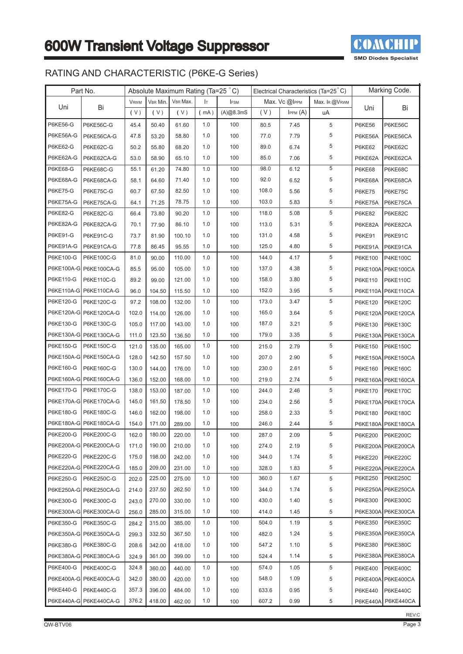

### RATING AND CHARACTERISTIC (P6KE-G Series)

|                 | Part No.               |             |          |          |      | Absolute Maximum Rating (Ta=25 °C)<br>Electrical Characteristics (Ta=25 °C) |       |                      |                | Marking Code.   |                    |
|-----------------|------------------------|-------------|----------|----------|------|-----------------------------------------------------------------------------|-------|----------------------|----------------|-----------------|--------------------|
|                 |                        | <b>VRWM</b> | VBR Min. | VBR Max. | Iт   | <b>IFSM</b>                                                                 |       | Max. $Vc$ $@$ IPPM   | Max. IR @VRWM  |                 |                    |
| Uni             | Bi                     | (V)         | (V)      | (V)      | (mA) | (A)@8.3mS                                                                   | (V)   | I <sub>PPM</sub> (A) | uA             | Uni             | Bi                 |
| P6KE56-G        | P6KE56C-G              | 45.4        | 50.40    | 61.60    | 1.0  | 100                                                                         | 80.5  | 7.45                 | 5              | <b>P6KE56</b>   | P6KE56C            |
| P6KE56A-G       | P6KE56CA-G             | 47.8        | 53.20    | 58.80    | 1.0  | 100                                                                         | 77.0  | 7.79                 | 5              | P6KE56A         | P6KE56CA           |
| <b>P6KE62-G</b> | P6KE62C-G              | 50.2        | 55.80    | 68.20    | 1.0  | 100                                                                         | 89.0  | 6.74                 | 5              | <b>P6KE62</b>   | P6KE62C            |
| P6KE62A-G       | P6KE62CA-G             | 53.0        | 58.90    | 65.10    | 1.0  | 100                                                                         | 85.0  | 7.06                 | 5              | P6KE62A         | P6KE62CA           |
| <b>P6KE68-G</b> | P6KE68C-G              | 55.1        | 61.20    | 74.80    | 1.0  | 100                                                                         | 98.0  | 6.12                 | $\overline{5}$ | <b>P6KE68</b>   | P6KE68C            |
| P6KE68A-G       | P6KE68CA-G             | 58.1        | 64.60    | 71.40    | 1.0  | 100                                                                         | 92.0  | 6.52                 | 5              | P6KE68A         | P6KE68CA           |
| <b>P6KE75-G</b> | P6KE75C-G              | 60.7        | 67.50    | 82.50    | 1.0  | 100                                                                         | 108.0 | 5.56                 | 5              | <b>P6KE75</b>   | P6KE75C            |
| P6KE75A-G       | P6KE75CA-G             | 64.1        | 71.25    | 78.75    | 1.0  | 100                                                                         | 103.0 | 5.83                 | 5              | P6KE75A         | P6KE75CA           |
| <b>P6KE82-G</b> | P6KE82C-G              | 66.4        | 73.80    | 90.20    | 1.0  | 100                                                                         | 118.0 | 5.08                 | 5              | <b>P6KE82</b>   | P6KE82C            |
| P6KE82A-G       | P6KE82CA-G             | 70.1        | 77.90    | 86.10    | 1.0  | 100                                                                         | 113.0 | 5.31                 | 5              | P6KE82A         | P6KE82CA           |
| P6KE91-G        | P6KE91C-G              | 73.7        | 81.90    | 100.10   | 1.0  | 100                                                                         | 131.0 | 4.58                 | 5              | <b>P6KE91</b>   | P6KE91C            |
| P6KE91A-G       | P6KE91CA-G             | 77.8        | 86.45    | 95.55    | 1.0  | 100                                                                         | 125.0 | 4.80                 | 5              | P6KE91A         | P6KE91CA           |
| P6KE100-G       | P6KE100C-G             | 81.0        | 90.00    | 110.00   | 1.0  | 100                                                                         | 144.0 | 4.17                 | 5              | P6KE100         | <b>P4KE100C</b>    |
|                 | P6KE100A-G P6KE100CA-G | 85.5        | 95.00    | 105.00   | 1.0  | 100                                                                         | 137.0 | 4.38                 | 5              | P6KE100A        | <b>P6KE100CA</b>   |
| P6KE110-G       | P6KE110C-G             | 89.2        | 99.00    | 121.00   | 1.0  | 100                                                                         | 158.0 | 3.80                 | 5              | P6KE110         | P6KE110C           |
|                 | P6KE110A-G P6KE110CA-G | 96.0        | 104.50   | 115.50   | 1.0  | 100                                                                         | 152.0 | 3.95                 | 5              | <b>P6KE110A</b> | P6KE110CA          |
| P6KE120-G       | P6KE120C-G             | 97.2        | 108.00   | 132.00   | 1.0  | 100                                                                         | 173.0 | 3.47                 | 5              | P6KE120         | <b>P6KE120C</b>    |
|                 | P6KE120A-G P6KE120CA-G | 102.0       | 114.00   | 126.00   | 1.0  | 100                                                                         | 165.0 | 3.64                 | 5              | <b>P6KE120A</b> | P6KE120CA          |
| P6KE130-G       | P6KE130C-G             | 105.0       | 117.00   | 143.00   | 1.0  | 100                                                                         | 187.0 | 3.21                 | 5              | P6KE130         | P6KE130C           |
|                 | P6KE130A-G P6KE130CA-G | 111.0       | 123.50   | 136.50   | 1.0  | 100                                                                         | 179.0 | 3.35                 | 5              |                 | P6KE130A P6KE130CA |
| P6KE150-G       | P6KE150C-G             | 121.0       | 135.00   | 165.00   | 1.0  | 100                                                                         | 215.0 | 2.79                 | 5              | P6KE150         | P6KE150C           |
|                 | P6KE150A-G P6KE150CA-G | 128.0       | 142.50   | 157.50   | 1.0  | 100                                                                         | 207.0 | 2.90                 | 5              | P6KE150A        | <b>P6KE150CA</b>   |
| P6KE160-G       | P6KE160C-G             | 130.0       | 144.00   | 176.00   | 1.0  | 100                                                                         | 230.0 | 2.61                 | 5              | P6KE160         | P6KE160C           |
|                 | P6KE160A-G P6KE160CA-G | 136.0       | 152.00   | 168.00   | 1.0  | 100                                                                         | 219.0 | 2.74                 | 5              | P6KE160A        | P6KE160CA          |
| P6KE170-G       | P6KE170C-G             | 138.0       | 153.00   | 187.00   | 1.0  | 100                                                                         | 244.0 | 2.46                 | 5              | P6KE170         | P6KE170C           |
|                 | P6KE170A-G P6KE170CA-G | 145.0       | 161.50   | 178.50   | 1.0  | 100                                                                         | 234.0 | 2.56                 | 5              | <b>P6KE170A</b> | P6KE170CA          |
| P6KE180-G       | P6KE180C-G             | 146.0       | 162.00   | 198.00   | 1.0  | 100                                                                         | 258.0 | 2.33                 | 5              | P6KE180         | P6KE180C           |
|                 | P6KE180A-G P6KE180CA-G | 154.0       | 171.00   | 289.00   | 1.0  | 100                                                                         | 246.0 | 2.44                 | 5              |                 | P6KE180A P6KE180CA |
|                 | P6KE200-G P6KE200C-G   | 162.0       | 180.00   | 220.00   | 1.0  | 100                                                                         | 287.0 | 2.09                 | 5              |                 | P6KE200   P6KE200C |
|                 | P6KE200A-G P6KE200CA-G | 171.0       | 190.00   | 210.00   | 1.0  | 100                                                                         | 274.0 | 2.19                 | 5              |                 | P6KE200A P6KE200CA |
| P6KE220-G       | P6KE220C-G             | 175.0       | 198.00   | 242.00   | 1.0  | 100                                                                         | 344.0 | 1.74                 | 5              | P6KE220         | <b>P6KE220C</b>    |
|                 | P6KE220A-G P6KE220CA-G | 185.0       | 209.00   | 231.00   | 1.0  | 100                                                                         | 328.0 | 1.83                 | 5              | <b>P6KE220A</b> | P6KE220CA          |
| P6KE250-G       | P6KE250C-G             | 202.0       | 225.00   | 275.00   | 1.0  | 100                                                                         | 360.0 | 1.67                 | 5              | P6KE250         | <b>P6KE250C</b>    |
|                 | P6KE250A-G P6KE250CA-G | 214.0       | 237.50   | 262.50   | 1.0  | 100                                                                         | 344.0 | 1.74                 | 5              |                 | P6KE250A P6KE250CA |
| P6KE300-G       | P6KE300C-G             | 243.0       | 270.00   | 330.00   | 1.0  | 100                                                                         | 430.0 | 1.40                 | 5              | P6KE300         | P6KE300C           |
|                 | P6KE300A-G P6KE300CA-G | 256.0       | 285.00   | 315.00   | 1.0  | 100                                                                         | 414.0 | 1.45                 | 5              | <b>P6KE300A</b> | P6KE300CA          |
| P6KE350-G       | P6KE350C-G             | 284.2       | 315.00   | 385.00   | 1.0  | 100                                                                         | 504.0 | 1.19                 | 5              | P6KE350         | <b>P6KE350C</b>    |
|                 | P6KE350A-G P6KE350CA-G | 299.3       | 332.50   | 367.50   | 1.0  | 100                                                                         | 482.0 | 1.24                 | 5              |                 | P6KE350A P6KE350CA |
| P6KE380-G       | P6KE380C-G             | 208.6       | 342.00   | 418.00   | 1.0  | 100                                                                         | 547.2 | 1.10                 | 5              | P6KE380         | <b>P6KE380C</b>    |
|                 | P6KE380A-G P6KE380CA-G | 324.9       | 361.00   | 399.00   | 1.0  | 100                                                                         | 524.4 | 1.14                 | 5              | <b>P6KE380A</b> | P6KE380CA          |
| P6KE400-G       | P6KE400C-G             | 324.8       | 360.00   | 440.00   | 1.0  | 100                                                                         | 574.0 | 1.05                 | 5              | P6KE400         | <b>P6KE400C</b>    |
|                 | P6KE400A-G P6KE400CA-G | 342.0       | 380.00   | 420.00   | 1.0  | 100                                                                         | 548.0 | 1.09                 | 5              | <b>P6KE400A</b> | P6KE400CA          |
| P6KE440-G       | P6KE440C-G             | 357.3       | 396.00   | 484.00   | 1.0  | 100                                                                         | 633.6 | 0.95                 | 5              | P6KE440         | <b>P6KE440C</b>    |
|                 | P6KE440A-G P6KE440CA-G | 376.2       | 418.00   | 462.00   | 1.0  | 100                                                                         | 607.2 | 0.99                 | 5              |                 | P6KE440A P6KE440CA |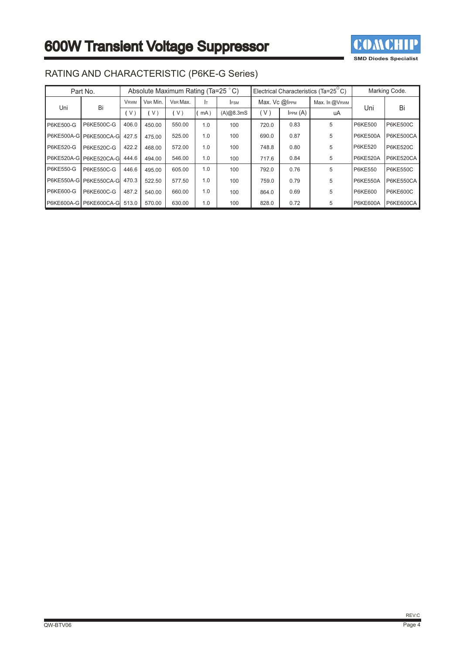

|                  | Part No.               | Absolute Maximum Rating (Ta=25 °C)<br>Electrical Characteristics (Ta= $25^{\circ}$ C) |          |          |     |            |               | Marking Code. |               |                 |                  |
|------------------|------------------------|---------------------------------------------------------------------------------------|----------|----------|-----|------------|---------------|---------------|---------------|-----------------|------------------|
| Uni              | Bi                     | <b>VRWM</b>                                                                           | VBR Min. | VBR Max. | Iт. | <b>FSM</b> | Max. Vc @IPPM |               | Max. IR @VRWM |                 |                  |
|                  |                        | V)                                                                                    | $\vee$   | V)       | mA) | (A)@8.3mS  | (V)           | IPPM (A)      | uA            | Uni             | Bi               |
| <b>P6KE500-G</b> | P6KE500C-G             | 406.0                                                                                 | 450.00   | 550.00   | 1.0 | 100        | 720.0         | 0.83          | 5             | <b>P6KE500</b>  | <b>P6KE500C</b>  |
|                  | P6KE500A-G P6KE500CA-G | 427.5                                                                                 | 475.00   | 525.00   | 1.0 | 100        | 690.0         | 0.87          | 5             | <b>P6KE500A</b> | <b>P6KE500CA</b> |
| <b>P6KE520-G</b> | P6KE520C-G             | 422.2                                                                                 | 468.00   | 572.00   | 1.0 | 100        | 748.8         | 0.80          | 5             | <b>P6KE520</b>  | <b>P6KE520C</b>  |
|                  | P6KE520A-G P6KE520CA-G | 444.6                                                                                 | 494.00   | 546.00   | 1.0 | 100        | 717.6         | 0.84          | 5             | <b>P6KE520A</b> | P6KE520CA        |
| <b>P6KE550-G</b> | P6KE550C-G             | 446.6                                                                                 | 495.00   | 605.00   | 1.0 | 100        | 792.0         | 0.76          | 5             | <b>P6KE550</b>  | <b>P6KE550C</b>  |
|                  | P6KE550A-G P6KE550CA-G | 470.3                                                                                 | 522.50   | 577.50   | 1.0 | 100        | 759.0         | 0.79          | 5             | <b>P6KE550A</b> | P6KE550CA        |
| <b>P6KE600-G</b> | P6KE600C-G             | 487.2                                                                                 | 540.00   | 660.00   | 1.0 | 100        | 864.0         | 0.69          | 5             | <b>P6KE600</b>  | <b>P6KE600C</b>  |
|                  | P6KE600A-G P6KE600CA-G | 513.0                                                                                 | 570.00   | 630.00   | 1.0 | 100        | 828.0         | 0.72          | 5             | <b>P6KE600A</b> | <b>P6KE600CA</b> |

### RATING AND CHARACTERISTIC (P6KE-G Series)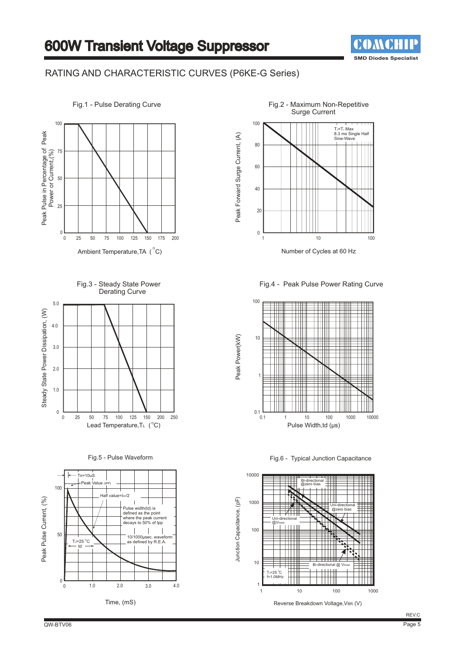

#### RATING AND CHARACTERISTIC CURVES (P6KE-G Series)



Fig.3 - Steady State Power Derating Curve



Fig.5 - Pulse Waveform





Number of Cycles at 60 Hz

Fig.4 - Peak Pulse Power Rating Curve



Fig.6 - Typical Junction Capacitance



Reverse Breakdown Voltage, VBR (V)